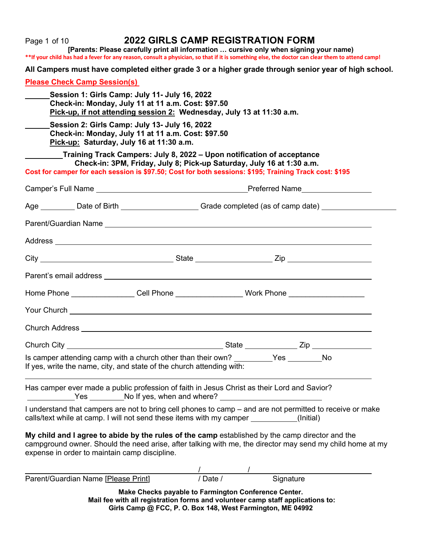| Page 1 of 10                                                                                                                                                                                                 | <b>2022 GIRLS CAMP REGISTRATION FORM</b>                                                                                                         | [Parents: Please carefully print all information  cursive only when signing your name)<br>**If your child has had a fever for any reason, consult a physician, so that if it is something else, the doctor can clear them to attend camp! |  |
|--------------------------------------------------------------------------------------------------------------------------------------------------------------------------------------------------------------|--------------------------------------------------------------------------------------------------------------------------------------------------|-------------------------------------------------------------------------------------------------------------------------------------------------------------------------------------------------------------------------------------------|--|
|                                                                                                                                                                                                              |                                                                                                                                                  | All Campers must have completed either grade 3 or a higher grade through senior year of high school.                                                                                                                                      |  |
| <b>Please Check Camp Session(s)</b>                                                                                                                                                                          |                                                                                                                                                  |                                                                                                                                                                                                                                           |  |
| Session 1: Girls Camp: July 11- July 16, 2022<br>Check-in: Monday, July 11 at 11 a.m. Cost: \$97.50<br>Pick-up, if not attending session 2: Wednesday, July 13 at 11:30 a.m.                                 |                                                                                                                                                  |                                                                                                                                                                                                                                           |  |
| Session 2: Girls Camp: July 13- July 16, 2022<br>Check-in: Monday, July 11 at 11 a.m. Cost: \$97.50<br>Pick-up: Saturday, July 16 at 11:30 a.m.                                                              |                                                                                                                                                  |                                                                                                                                                                                                                                           |  |
| Cost for camper for each session is \$97.50; Cost for both sessions: \$195; Training Track cost: \$195                                                                                                       | _Training Track Campers: July 8, 2022 – Upon notification of acceptance<br>Check-in: 3PM, Friday, July 8; Pick-up Saturday, July 16 at 1:30 a.m. |                                                                                                                                                                                                                                           |  |
|                                                                                                                                                                                                              |                                                                                                                                                  |                                                                                                                                                                                                                                           |  |
|                                                                                                                                                                                                              |                                                                                                                                                  | Age __________ Date of Birth _______________________Grade completed (as of camp date) ______________                                                                                                                                      |  |
|                                                                                                                                                                                                              |                                                                                                                                                  |                                                                                                                                                                                                                                           |  |
|                                                                                                                                                                                                              |                                                                                                                                                  |                                                                                                                                                                                                                                           |  |
|                                                                                                                                                                                                              |                                                                                                                                                  |                                                                                                                                                                                                                                           |  |
|                                                                                                                                                                                                              |                                                                                                                                                  |                                                                                                                                                                                                                                           |  |
|                                                                                                                                                                                                              |                                                                                                                                                  | Home Phone _________________Cell Phone __________________Work Phone _____________                                                                                                                                                         |  |
|                                                                                                                                                                                                              |                                                                                                                                                  |                                                                                                                                                                                                                                           |  |
| Church Address <b>Church Address Church Address Church Address Church Address Church Address Church Address Church Address Church Address Church Address Church Address Church Address Church Address Ch</b> |                                                                                                                                                  |                                                                                                                                                                                                                                           |  |
|                                                                                                                                                                                                              |                                                                                                                                                  |                                                                                                                                                                                                                                           |  |
| Is camper attending camp with a church other than their own? _________Yes _______No<br>If yes, write the name, city, and state of the church attending with:                                                 |                                                                                                                                                  |                                                                                                                                                                                                                                           |  |
| Has camper ever made a public profession of faith in Jesus Christ as their Lord and Savior?<br>Ves ________________________No If yes, when and where? __________________________                             |                                                                                                                                                  |                                                                                                                                                                                                                                           |  |
| calls/text while at camp. I will not send these items with my camper __________(Initial)                                                                                                                     |                                                                                                                                                  | I understand that campers are not to bring cell phones to camp - and are not permitted to receive or make                                                                                                                                 |  |
| My child and I agree to abide by the rules of the camp established by the camp director and the<br>expense in order to maintain camp discipline.                                                             |                                                                                                                                                  | campground owner. Should the need arise, after talking with me, the director may send my child home at my                                                                                                                                 |  |
| Parent/Guardian Name [Please Print]                                                                                                                                                                          |                                                                                                                                                  | /<br>/ Date / Signature                                                                                                                                                                                                                   |  |
|                                                                                                                                                                                                              | Make Checks payable to Farmington Conference Center.                                                                                             | Mail fee with all registration forms and volunteer camp staff applications to:                                                                                                                                                            |  |

**Girls Camp @ FCC, P. O. Box 148, West Farmington, ME 04992**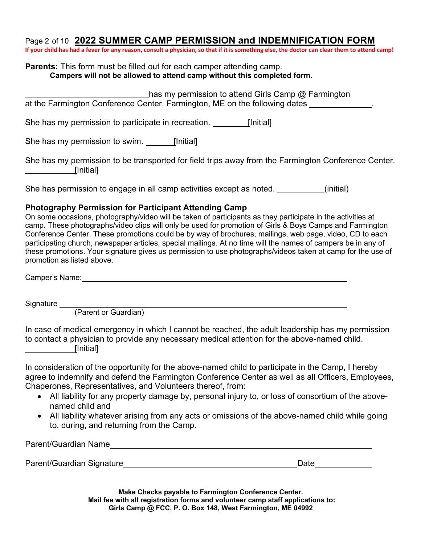## Page 2 of 10 **2022 SUMMER CAMP PERMISSION and INDEMNIFICATION FORM**

**If your child has had a fever for any reason, consult a physician, so that if it is something else, the doctor can clear them to attend camp!**

#### **Parents:** This form must be filled out for each camper attending camp. **Campers will not be allowed to attend camp without this completed form.**

| has my permission to attend Girls Camp @ Farmington                                                              |
|------------------------------------------------------------------------------------------------------------------|
| at the Farmington Conference Center, Farmington, ME on the following dates                                       |
| She has my permission to participate in recreation.<br>[Initial]                                                 |
| She has my permission to swim.<br>[Initial]                                                                      |
| She has my permission to be transported for field trips away from the Farmington Conference Center.<br>[Initial] |
| She has permission to engage in all camp activities except as noted.<br>(initial)                                |

# **Photography Permission for Participant Attending Camp**

On some occasions, photography/video will be taken of participants as they participate in the activities at camp. These photographs/video clips will only be used for promotion of Girls & Boys Camps and Farmington Conference Center. These promotions could be by way of brochures, mailings, web page, video, CD to each participating church, newspaper articles, special mailings. At no time will the names of campers be in any of these promotions. Your signature gives us permission to use photographs/videos taken at camp for the use of promotion as listed above.

Camper's Name:

Signature

(Parent or Guardian)

In case of medical emergency in which I cannot be reached, the adult leadership has my permission to contact a physician to provide any necessary medical attention for the above-named child. [Initial]

In consideration of the opportunity for the above-named child to participate in the Camp, I hereby agree to indemnify and defend the Farmington Conference Center as well as all Officers, Employees, Chaperones, Representatives, and Volunteers thereof, from:

- All liability for any property damage by, personal injury to, or loss of consortium of the abovenamed child and
- All liability whatever arising from any acts or omissions of the above-named child while going to, during, and returning from the Camp.

| Parent/Guardian Name      |      |
|---------------------------|------|
|                           |      |
| Parent/Guardian Signature | Date |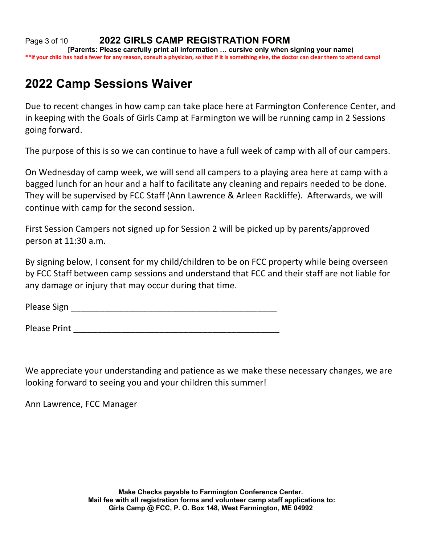Page 3 of 10 **2022 GIRLS CAMP REGISTRATION FORM [Parents: Please carefully print all information … cursive only when signing your name) \*\*If your child has had a fever for any reason, consult a physician, so that if it is something else, the doctor can clear them to attend camp!**

# **2022 Camp Sessions Waiver**

Due to recent changes in how camp can take place here at Farmington Conference Center, and in keeping with the Goals of Girls Camp at Farmington we will be running camp in 2 Sessions going forward.

The purpose of this is so we can continue to have a full week of camp with all of our campers.

On Wednesday of camp week, we will send all campers to a playing area here at camp with a bagged lunch for an hour and a half to facilitate any cleaning and repairs needed to be done. They will be supervised by FCC Staff (Ann Lawrence & Arleen Rackliffe). Afterwards, we will continue with camp for the second session.

First Session Campers not signed up for Session 2 will be picked up by parents/approved person at 11:30 a.m.

By signing below, I consent for my child/children to be on FCC property while being overseen by FCC Staff between camp sessions and understand that FCC and their staff are not liable for any damage or injury that may occur during that time.

Please Sign \_\_\_\_\_\_\_\_\_\_\_\_\_\_\_\_\_\_\_\_\_\_\_\_\_\_\_\_\_\_\_\_\_\_\_\_\_\_\_\_\_\_\_

Please Print **Executive Contract Contract Contract Contract Contract Contract Contract Contract Contract Contract Contract Contract Contract Contract Contract Contract Contract Contract Contract Contract Contract Contract** 

We appreciate your understanding and patience as we make these necessary changes, we are looking forward to seeing you and your children this summer!

Ann Lawrence, FCC Manager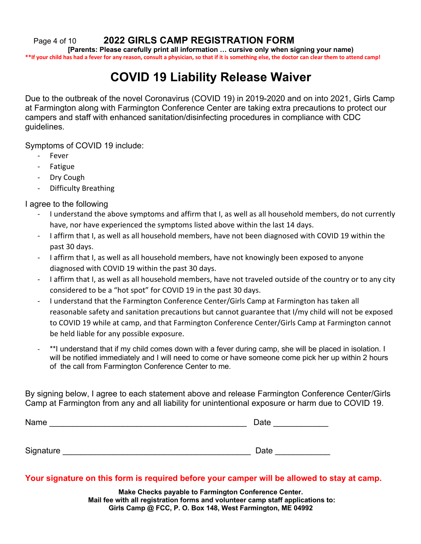Page 4 of 10 **2022 GIRLS CAMP REGISTRATION FORM**

**[Parents: Please carefully print all information … cursive only when signing your name) \*\*If your child has had a fever for any reason, consult a physician, so that if it is something else, the doctor can clear them to attend camp!**

# **COVID 19 Liability Release Waiver**

Due to the outbreak of the novel Coronavirus (COVID 19) in 2019-2020 and on into 2021, Girls Camp at Farmington along with Farmington Conference Center are taking extra precautions to protect our campers and staff with enhanced sanitation/disinfecting procedures in compliance with CDC guidelines.

Symptoms of COVID 19 include:

- **Fever**
- **Fatigue**
- Dry Cough
- Difficulty Breathing

I agree to the following

- I understand the above symptoms and affirm that I, as well as all household members, do not currently have, nor have experienced the symptoms listed above within the last 14 days.
- I affirm that I, as well as all household members, have not been diagnosed with COVID 19 within the past 30 days.
- I affirm that I, as well as all household members, have not knowingly been exposed to anyone diagnosed with COVID 19 within the past 30 days.
- I affirm that I, as well as all household members, have not traveled outside of the country or to any city considered to be a "hot spot" for COVID 19 in the past 30 days.
- I understand that the Farmington Conference Center/Girls Camp at Farmington has taken all reasonable safety and sanitation precautions but cannot guarantee that I/my child will not be exposed to COVID 19 while at camp, and that Farmington Conference Center/Girls Camp at Farmington cannot be held liable for any possible exposure.
- \*\*I understand that if my child comes down with a fever during camp, she will be placed in isolation. I will be notified immediately and I will need to come or have someone come pick her up within 2 hours of the call from Farmington Conference Center to me.

By signing below, I agree to each statement above and release Farmington Conference Center/Girls Camp at Farmington from any and all liability for unintentional exposure or harm due to COVID 19.

| Name      | Date |
|-----------|------|
|           |      |
|           |      |
| Signature | Date |

### **Your signature on this form is required before your camper will be allowed to stay at camp.**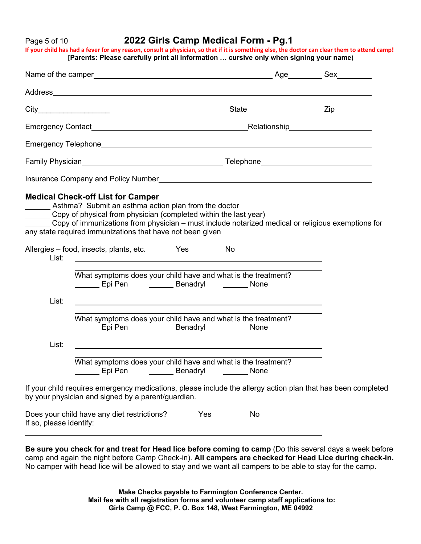## Page 5 of 10 **2022 Girls Camp Medical Form - Pg.1**

**If your child has had a fever for any reason, consult a physician, so that if it is something else, the doctor can clear them to attend camp! [Parents: Please carefully print all information … cursive only when signing your name)**

|                         | <b>Medical Check-off List for Camper</b><br>_______ Asthma? Submit an asthma action plan from the doctor<br>Copy of physical from physician (completed within the last year)<br>Copy of immunizations from physician - must include notarized medical or religious exemptions for<br>any state required immunizations that have not been given |  |  |
|-------------------------|------------------------------------------------------------------------------------------------------------------------------------------------------------------------------------------------------------------------------------------------------------------------------------------------------------------------------------------------|--|--|
| List:                   | Allergies - food, insects, plants, etc. ________ Yes ________ No                                                                                                                                                                                                                                                                               |  |  |
|                         | What symptoms does your child have and what is the treatment?<br>London London Channel Channel Channel Channel Channel Channel Channel Channel Channel Channel Channel Channel                                                                                                                                                                 |  |  |
| List:                   | <u> 1989 - Johann Stoff, amerikansk politiker (d. 1989)</u>                                                                                                                                                                                                                                                                                    |  |  |
|                         | What symptoms does your child have and what is the treatment?<br>Epi Pen <b>Denaming Contact Contact Contact Contact Contact Contact Contact Contact Contact Contact Contact Conta</b>                                                                                                                                                         |  |  |
| List:                   |                                                                                                                                                                                                                                                                                                                                                |  |  |
|                         | What symptoms does your child have and what is the treatment?                                                                                                                                                                                                                                                                                  |  |  |
|                         | If your child requires emergency medications, please include the allergy action plan that has been completed<br>by your physician and signed by a parent/guardian.                                                                                                                                                                             |  |  |
| If so, please identify: | Does your child have any diet restrictions? _______Yes ________ No                                                                                                                                                                                                                                                                             |  |  |
|                         |                                                                                                                                                                                                                                                                                                                                                |  |  |

**Be sure you check for and treat for Head lice before coming to camp** (Do this several days a week before camp and again the night before Camp Check-in). **All campers are checked for Head Lice during check-in.**  No camper with head lice will be allowed to stay and we want all campers to be able to stay for the camp.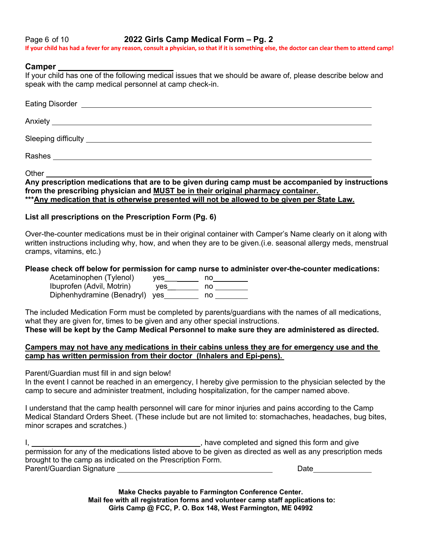Page 6 of 10 **2022 Girls Camp Medical Form – Pg. 2 If your child has had a fever for any reason, consult a physician, so that if it is something else, the doctor can clear them to attend camp!**

### **Camper**

If your child has one of the following medical issues that we should be aware of, please describe below and speak with the camp medical personnel at camp check-in.

| Anxiety <b>Example 2018</b> Anxiety <b>Anxiety</b> |  |
|----------------------------------------------------|--|
|                                                    |  |
|                                                    |  |
|                                                    |  |

Other

**Any prescription medications that are to be given during camp must be accompanied by instructions from the prescribing physician and MUST be in their original pharmacy container. \*\*\*Any medication that is otherwise presented will not be allowed to be given per State Law.**

### **List all prescriptions on the Prescription Form (Pg. 6)**

Over-the-counter medications must be in their original container with Camper's Name clearly on it along with written instructions including why, how, and when they are to be given.(i.e. seasonal allergy meds, menstrual cramps, vitamins, etc.)

### **Please check off below for permission for camp nurse to administer over-the-counter medications:**

Acetaminophen (Tylenol) yes \_\_\_\_\_\_\_ no\_\_\_\_\_\_\_\_ Ibuprofen (Advil, Motrin) yes\_\_ no Diphenhydramine (Benadryl) yes
<u>worrow no</u> no

The included Medication Form must be completed by parents/guardians with the names of all medications, what they are given for, times to be given and any other special instructions.

**These will be kept by the Camp Medical Personnel to make sure they are administered as directed.**

### **Campers may not have any medications in their cabins unless they are for emergency use and the camp has written permission from their doctor (Inhalers and Epi-pens).**

Parent/Guardian must fill in and sign below!

In the event I cannot be reached in an emergency, I hereby give permission to the physician selected by the camp to secure and administer treatment, including hospitalization, for the camper named above.

I understand that the camp health personnel will care for minor injuries and pains according to the Camp Medical Standard Orders Sheet. (These include but are not limited to: stomachaches, headaches, bug bites, minor scrapes and scratches.)

I, , have completed and signed this form and give permission for any of the medications listed above to be given as directed as well as any prescription meds brought to the camp as indicated on the Prescription Form. Parent/Guardian Signature Late and Contract and Contract and Contract and Date Date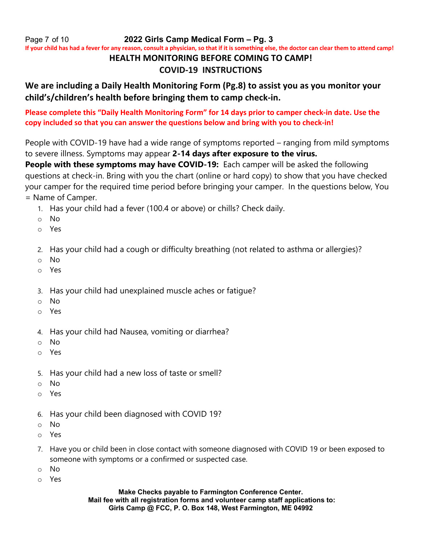Page 7 of 10 **2022 Girls Camp Medical Form – Pg. 3**

**If your child has had a fever for any reason, consult a physician, so that if it is something else, the doctor can clear them to attend camp!**

# **HEALTH MONITORING BEFORE COMING TO CAMP!**

# **COVID-19 INSTRUCTIONS**

# **We are including a Daily Health Monitoring Form (Pg.8) to assist you as you monitor your child's/children's health before bringing them to camp check-in.**

**Please complete this "Daily Health Monitoring Form" for 14 days prior to camper check-in date. Use the copy included so that you can answer the questions below and bring with you to check-in!**

People with COVID-19 have had a wide range of symptoms reported – ranging from mild symptoms to severe illness. Symptoms may appear **2-14 days after exposure to the virus.**

**People with these symptoms may have COVID-19:** Each camper will be asked the following questions at check-in. Bring with you the chart (online or hard copy) to show that you have checked your camper for the required time period before bringing your camper. In the questions below, You = Name of Camper.

- 1. Has your child had a fever (100.4 or above) or chills? Check daily.
- o No
- o Yes
- 2. Has your child had a cough or difficulty breathing (not related to asthma or allergies)?
- o No
- o Yes
- 3. Has your child had unexplained muscle aches or fatigue?
- o No
- o Yes
- 4. Has your child had Nausea, vomiting or diarrhea?
- o No
- o Yes
- 5. Has your child had a new loss of taste or smell?
- o No
- o Yes
- 6. Has your child been diagnosed with COVID 19?
- o No
- o Yes
- 7. Have you or child been in close contact with someone diagnosed with COVID 19 or been exposed to someone with symptoms or a confirmed or suspected case.
- o No
- o Yes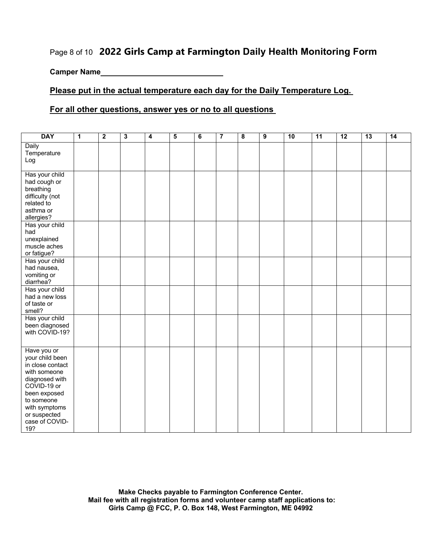# Page 8 of 10 **2022 Girls Camp at Farmington Daily Health Monitoring Form**

**Camper Name**

## **Please put in the actual temperature each day for the Daily Temperature Log.**

### **For all other questions, answer yes or no to all questions**

| <b>DAY</b>                                                                                                                                                                                  | $\mathbf{1}$ | $\overline{2}$ | $\overline{\mathbf{3}}$ | $\overline{4}$ | $\overline{5}$ | $\overline{6}$ | $\overline{7}$ | $\overline{\mathbf{8}}$ | $\overline{9}$ | 10 | 11 | 12 | 13 | 14 |
|---------------------------------------------------------------------------------------------------------------------------------------------------------------------------------------------|--------------|----------------|-------------------------|----------------|----------------|----------------|----------------|-------------------------|----------------|----|----|----|----|----|
| Daily<br>Temperature<br>Log                                                                                                                                                                 |              |                |                         |                |                |                |                |                         |                |    |    |    |    |    |
| Has your child<br>had cough or<br>breathing<br>difficulty (not<br>related to<br>asthma or<br>allergies?                                                                                     |              |                |                         |                |                |                |                |                         |                |    |    |    |    |    |
| Has your child<br>had<br>unexplained<br>muscle aches<br>or fatigue?                                                                                                                         |              |                |                         |                |                |                |                |                         |                |    |    |    |    |    |
| Has your child<br>had nausea,<br>vomiting or<br>diarrhea?                                                                                                                                   |              |                |                         |                |                |                |                |                         |                |    |    |    |    |    |
| Has your child<br>had a new loss<br>of taste or<br>smell?                                                                                                                                   |              |                |                         |                |                |                |                |                         |                |    |    |    |    |    |
| Has your child<br>been diagnosed<br>with COVID-19?                                                                                                                                          |              |                |                         |                |                |                |                |                         |                |    |    |    |    |    |
| Have you or<br>your child been<br>in close contact<br>with someone<br>diagnosed with<br>COVID-19 or<br>been exposed<br>to someone<br>with symptoms<br>or suspected<br>case of COVID-<br>19? |              |                |                         |                |                |                |                |                         |                |    |    |    |    |    |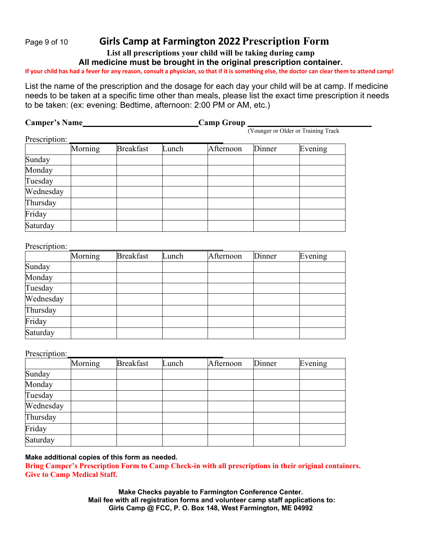# Page <sup>9</sup> of <sup>10</sup> **Girls Camp at Farmington 2022Prescription Form**

**List all prescriptions your child will be taking during camp**

**All medicine must be brought in the original prescription container.** 

**If your child has had a fever for any reason, consult a physician, so that if it is something else, the doctor can clear them to attend camp!**

List the name of the prescription and the dosage for each day your child will be at camp. If medicine needs to be taken at a specific time other than meals, please list the exact time prescription it needs to be taken: (ex: evening: Bedtime, afternoon: 2:00 PM or AM, etc.)

| <b>Camper's Name</b> |         |                  |       | <b>Camp Group</b> |        |                                     |
|----------------------|---------|------------------|-------|-------------------|--------|-------------------------------------|
|                      |         |                  |       |                   |        | (Younger or Older or Training Track |
| Prescription:        |         |                  |       |                   |        |                                     |
|                      | Morning | <b>Breakfast</b> | Lunch | Afternoon         | Dinner | Evening                             |
| Sunday               |         |                  |       |                   |        |                                     |
| Monday               |         |                  |       |                   |        |                                     |
| Tuesday              |         |                  |       |                   |        |                                     |
| Wednesday            |         |                  |       |                   |        |                                     |
| Thursday             |         |                  |       |                   |        |                                     |
| Friday               |         |                  |       |                   |        |                                     |
| Saturday             |         |                  |       |                   |        |                                     |

### Prescription:

|           | Morning | <b>Breakfast</b> | Lunch | Afternoon | Dinner | Evening |
|-----------|---------|------------------|-------|-----------|--------|---------|
| Sunday    |         |                  |       |           |        |         |
| Monday    |         |                  |       |           |        |         |
| Tuesday   |         |                  |       |           |        |         |
| Wednesday |         |                  |       |           |        |         |
| Thursday  |         |                  |       |           |        |         |
| Friday    |         |                  |       |           |        |         |
| Saturday  |         |                  |       |           |        |         |

Prescription:

|           | Morning | <b>Breakfast</b> | Lunch | Afternoon | Dinner | Evening |
|-----------|---------|------------------|-------|-----------|--------|---------|
| Sunday    |         |                  |       |           |        |         |
| Monday    |         |                  |       |           |        |         |
| Tuesday   |         |                  |       |           |        |         |
| Wednesday |         |                  |       |           |        |         |
| Thursday  |         |                  |       |           |        |         |
| Friday    |         |                  |       |           |        |         |
| Saturday  |         |                  |       |           |        |         |

### **Make additional copies of this form as needed.**

**Bring Camper's Prescription Form to Camp Check-in with all prescriptions in their original containers. Give to Camp Medical Staff.**